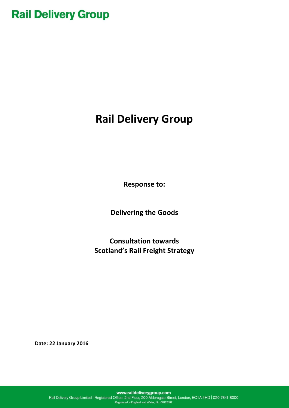## **Rail Delivery Group**

# **Rail Delivery Group**

**Response to:**

**Delivering the Goods**

**Consultation towards Scotland's Rail Freight Strategy**

**Date: 22 January 2016**

www.raildeliverygroup.com

Rail Delivery Group Limited | Registered Office: 2nd Floor, 200 Aldersgate Street, London, EC1A 4HD | 020 7841 8000 Registered in England and Wales, No. 08176197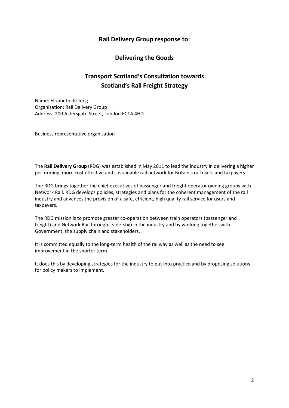## **Rail Delivery Group response to:**

## **Delivering the Goods**

## **Transport Scotland's Consultation towards Scotland's Rail Freight Strategy**

Name: Elizabeth de Jong Organisation: Rail Delivery Group Address: 200 Aldersgate Street, London EC1A 4HD

Business representative organisation

The **Rail Delivery Group** (RDG) was established in May 2011 to lead the industry in delivering a higher performing, more cost effective and sustainable rail network for Britain's rail users and taxpayers.

The RDG brings together the chief executives of passenger and freight operator owning groups with Network Rail. RDG develops policies, strategies and plans for the coherent management of the rail industry and advances the provision of a safe, efficient, high quality rail service for users and taxpayers.

The RDG mission is to promote greater co-operation between train operators (passenger and freight) and Network Rail through leadership in the industry and by working together with Government, the supply chain and stakeholders.

It is committed equally to the long-term health of the railway as well as the need to see improvement in the shorter term.

It does this by developing strategies for the industry to put into practice and by proposing solutions for policy makers to implement.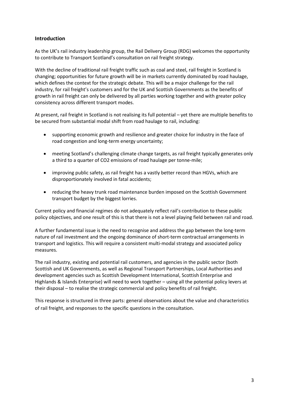## **Introduction**

As the UK's rail industry leadership group, the Rail Delivery Group (RDG) welcomes the opportunity to contribute to Transport Scotland's consultation on rail freight strategy.

With the decline of traditional rail freight traffic such as coal and steel, rail freight in Scotland is changing; opportunities for future growth will be in markets currently dominated by road haulage, which defines the context for the strategic debate. This will be a major challenge for the rail industry, for rail freight's customers and for the UK and Scottish Governments as the benefits of growth in rail freight can only be delivered by all parties working together and with greater policy consistency across different transport modes.

At present, rail freight in Scotland is not realising its full potential – yet there are multiple benefits to be secured from substantial modal shift from road haulage to rail, including:

- supporting economic growth and resilience and greater choice for industry in the face of road congestion and long-term energy uncertainty;
- meeting Scotland's challenging climate change targets, as rail freight typically generates only a third to a quarter of CO2 emissions of road haulage per tonne-mile;
- improving public safety, as rail freight has a vastly better record than HGVs, which are disproportionately involved in fatal accidents;
- reducing the heavy trunk road maintenance burden imposed on the Scottish Government transport budget by the biggest lorries.

Current policy and financial regimes do not adequately reflect rail's contribution to these public policy objectives, and one result of this is that there is not a level playing field between rail and road.

A further fundamental issue is the need to recognise and address the gap between the long-term nature of rail investment and the ongoing dominance of short-term contractual arrangements in transport and logistics. This will require a consistent multi-modal strategy and associated policy measures.

The rail industry, existing and potential rail customers, and agencies in the public sector (both Scottish and UK Governments, as well as Regional Transport Partnerships, Local Authorities and development agencies such as Scottish Development International, Scottish Enterprise and Highlands & Islands Enterprise) will need to work together – using all the potential policy levers at their disposal – to realise the strategic commercial and policy benefits of rail freight.

This response is structured in three parts: general observations about the value and characteristics of rail freight, and responses to the specific questions in the consultation.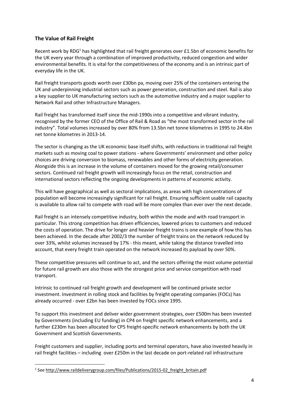## **The Value of Rail Freight**

Recent work by RDG<sup>1</sup> has highlighted that rail freight generates over £1.5bn of economic benefits for the UK every year through a combination of improved productivity, reduced congestion and wider environmental benefits. It is vital for the competitiveness of the economy and is an intrinsic part of everyday life in the UK.

Rail freight transports goods worth over £30bn pa, moving over 25% of the containers entering the UK and underpinning industrial sectors such as power generation, construction and steel. Rail is also a key supplier to UK manufacturing sectors such as the automotive industry and a major supplier to Network Rail and other Infrastructure Managers.

Rail freight has transformed itself since the mid-1990s into a competitive and vibrant industry, recognised by the former CEO of the Office of Rail & Road as "the most transformed sector in the rail industry". Total volumes increased by over 80% from 13.5bn net tonne kilometres in 1995 to 24.4bn net tonne kilometres in 2013-14.

The sector is changing as the UK economic base itself shifts, with reductions in traditional rail freight markets such as moving coal to power stations - where Governments' environment and other policy choices are driving conversion to biomass, renewables and other forms of electricity generation. Alongside this is an increase in the volume of containers moved for the growing retail/consumer sectors. Continued rail freight growth will increasingly focus on the retail, construction and international sectors reflecting the ongoing developments in patterns of economic activity.

This will have geographical as well as sectoral implications, as areas with high concentrations of population will become increasingly significant for rail freight. Ensuring sufficient usable rail capacity is available to allow rail to compete with road will be more complex than ever over the next decade.

Rail freight is an intensely competitive industry, both within the mode and with road transport in particular. This strong competition has driven efficiencies, lowered prices to customers and reduced the costs of operation. The drive for longer and heavier freight trains is one example of how this has been achieved. In the decade after 2002/3 the number of freight trains on the network reduced by over 33%, whilst volumes increased by 17% - this meant, while taking the distance travelled into account, that every freight train operated on the network increased its payload by over 50%.

These competitive pressures will continue to act, and the sectors offering the most volume potential for future rail growth are also those with the strongest price and service competition with road transport.

Intrinsic to continued rail freight growth and development will be continued private sector investment. Investment in rolling stock and facilities by freight operating companies (FOCs) has already occurred - over £2bn has been invested by FOCs since 1995.

To support this investment and deliver wider government strategies, over £500m has been invested by Governments (including EU funding) in CP4 on freight specific network enhancements, and a further £230m has been allocated for CP5 freight-specific network enhancements by both the UK Government and Scottish Governments.

Freight customers and supplier, including ports and terminal operators, have also invested heavily in rail freight facilities – including over £250m in the last decade on port-related rail infrastructure

1

<sup>&</sup>lt;sup>1</sup> See http://www.raildeliverygroup.com/files/Publications/2015-02 freight britain.pdf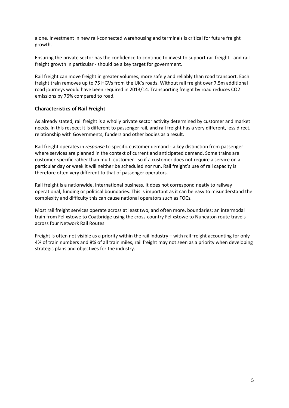alone. Investment in new rail-connected warehousing and terminals is critical for future freight growth.

Ensuring the private sector has the confidence to continue to invest to support rail freight - and rail freight growth in particular - should be a key target for government.

Rail freight can move freight in greater volumes, more safely and reliably than road transport. Each freight train removes up to 75 HGVs from the UK's roads. Without rail freight over 7.5m additional road journeys would have been required in 2013/14. Transporting freight by road reduces CO2 emissions by 76% compared to road.

## **Characteristics of Rail Freight**

As already stated, rail freight is a wholly private sector activity determined by customer and market needs. In this respect it is different to passenger rail, and rail freight has a very different, less direct, relationship with Governments, funders and other bodies as a result.

Rail freight operates in *response* to specific customer demand - a key distinction from passenger where services are planned in the context of current and anticipated demand. Some trains are customer-specific rather than multi-customer - so if a customer does not require a service on a particular day or week it will neither be scheduled nor run. Rail freight's use of rail capacity is therefore often very different to that of passenger operators.

Rail freight is a nationwide, international business. It does not correspond neatly to railway operational, funding or political boundaries. This is important as it can be easy to misunderstand the complexity and difficulty this can cause national operators such as FOCs.

Most rail freight services operate across at least two, and often more, boundaries; an intermodal train from Felixstowe to Coatbridge using the cross-country Felixstowe to Nuneaton route travels across four Network Rail Routes.

Freight is often not visible as a priority within the rail industry – with rail freight accounting for only 4% of train numbers and 8% of all train miles, rail freight may not seen as a priority when developing strategic plans and objectives for the industry.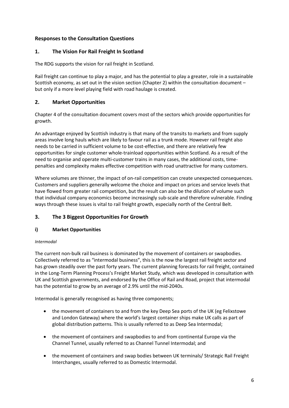## **Responses to the Consultation Questions**

## **1. The Vision For Rail Freight In Scotland**

The RDG supports the vision for rail freight in Scotland.

Rail freight can continue to play a major, and has the potential to play a greater, role in a sustainable Scottish economy, as set out in the vision section (Chapter 2) within the consultation document – but only if a more level playing field with road haulage is created.

## **2. Market Opportunities**

Chapter 4 of the consultation document covers most of the sectors which provide opportunities for growth.

An advantage enjoyed by Scottish industry is that many of the transits to markets and from supply areas involve long hauls which are likely to favour rail as a trunk mode. However rail freight also needs to be carried in sufficient volume to be cost-effective, and there are relatively few opportunities for single customer whole-trainload opportunities within Scotland. As a result of the need to organise and operate multi-customer trains in many cases, the additional costs, timepenalties and complexity makes effective competition with road unattractive for many customers.

Where volumes are thinner, the impact of on-rail competition can create unexpected consequences. Customers and suppliers generally welcome the choice and impact on prices and service levels that have flowed from greater rail competition, but the result can also be the dilution of volume such that individual company economics become increasingly sub-scale and therefore vulnerable. Finding ways through these issues is vital to rail freight growth, especially north of the Central Belt.

## **3. The 3 Biggest Opportunities For Growth**

## **i) Market Opportunities**

#### *Intermodal*

The current non-bulk rail business is dominated by the movement of containers or swapbodies. Collectively referred to as "intermodal business", this is the now the largest rail freight sector and has grown steadily over the past forty years. The current planning forecasts for rail freight, contained in the Long-Term Planning Process's Freight Market Study, which was developed in consultation with UK and Scottish governments, and endorsed by the Office of Rail and Road, project that intermodal has the potential to grow by an average of 2.9% until the mid-2040s.

Intermodal is generally recognised as having three components;

- the movement of containers to and from the key Deep Sea ports of the UK (eg Felixstowe and London Gateway) where the world's largest container ships make UK calls as part of global distribution patterns. This is usually referred to as Deep Sea Intermodal;
- the movement of containers and swapbodies to and from continental Europe via the Channel Tunnel, usually referred to as Channel Tunnel Intermodal; and
- the movement of containers and swap bodies between UK terminals/ Strategic Rail Freight Interchanges, usually referred to as Domestic Intermodal.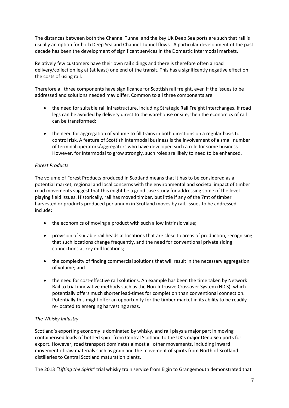The distances between both the Channel Tunnel and the key UK Deep Sea ports are such that rail is usually an option for both Deep Sea and Channel Tunnel flows. A particular development of the past decade has been the development of significant services in the Domestic Intermodal markets.

Relatively few customers have their own rail sidings and there is therefore often a road delivery/collection leg at (at least) one end of the transit. This has a significantly negative effect on the costs of using rail.

Therefore all three components have significance for Scottish rail freight, even if the issues to be addressed and solutions needed may differ. Common to all three components are:

- the need for suitable rail infrastructure, including Strategic Rail Freight Interchanges. If road legs can be avoided by delivery direct to the warehouse or site, then the economics of rail can be transformed;
- the need for aggregation of volume to fill trains in both directions on a regular basis to control risk. A feature of Scottish Intermodal business is the involvement of a small number of terminal operators/aggregators who have developed such a role for some business. However, for Intermodal to grow strongly, such roles are likely to need to be enhanced.

#### *Forest Products*

The volume of Forest Products produced in Scotland means that it has to be considered as a potential market; regional and local concerns with the environmental and societal impact of timber road movements suggest that this might be a good case study for addressing some of the level playing field issues. Historically, rail has moved timber, but little if any of the 7mt of timber harvested or products produced per annum in Scotland moves by rail. Issues to be addressed include:

- the economics of moving a product with such a low intrinsic value;
- provision of suitable rail heads at locations that are close to areas of production, recognising that such locations change frequently, and the need for conventional private siding connections at key mill locations;
- the complexity of finding commercial solutions that will result in the necessary aggregation of volume; and
- the need for cost-effective rail solutions. An example has been the time taken by Network Rail to trial innovative methods such as the Non-Intrusive Crossover System (NICS), which potentially offers much shorter lead-times for completion than conventional connection. Potentially this might offer an opportunity for the timber market in its ability to be readily re-located to emerging harvesting areas.

#### *The Whisky Industry*

Scotland's exporting economy is dominated by whisky, and rail plays a major part in moving containerised loads of bottled spirit from Central Scotland to the UK's major Deep Sea ports for export. However, road transport dominates almost all other movements, including inward movement of raw materials such as grain and the movement of spirits from North of Scotland distilleries to Central Scotland maturation plants.

The 2013 *"Lifting the Spirit"* trial whisky train service from Elgin to Grangemouth demonstrated that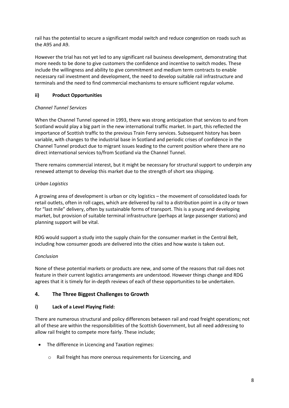rail has the potential to secure a significant modal switch and reduce congestion on roads such as the A95 and A9.

However the trial has not yet led to any significant rail business development, demonstrating that more needs to be done to give customers the confidence and incentive to switch modes. These include the willingness and ability to give commitment and medium term contracts to enable necessary rail investment and development, the need to develop suitable rail infrastructure and terminals and the need to find commercial mechanisms to ensure sufficient regular volume.

## **ii) Product Opportunities**

## *Channel Tunnel Services*

When the Channel Tunnel opened in 1993, there was strong anticipation that services to and from Scotland would play a big part in the new international traffic market. In part, this reflected the importance of Scottish traffic to the previous Train Ferry services. Subsequent history has been variable, with changes to the industrial base in Scotland and periodic crises of confidence in the Channel Tunnel product due to migrant issues leading to the current position where there are no direct international services to/from Scotland via the Channel Tunnel.

There remains commercial interest, but it might be necessary for structural support to underpin any renewed attempt to develop this market due to the strength of short sea shipping.

## *Urban Logistics*

A growing area of development is urban or city logistics – the movement of consolidated loads for retail outlets, often in roll cages, which are delivered by rail to a distribution point in a city or town for "last mile" delivery, often by sustainable forms of transport. This is a young and developing market, but provision of suitable terminal infrastructure (perhaps at large passenger stations) and planning support will be vital.

RDG would support a study into the supply chain for the consumer market in the Central Belt, including how consumer goods are delivered into the cities and how waste is taken out.

## *Conclusion*

None of these potential markets or products are new, and some of the reasons that rail does not feature in their current logistics arrangements are understood. However things change and RDG agrees that it is timely for in-depth reviews of each of these opportunities to be undertaken.

## **4. The Three Biggest Challenges to Growth**

## **i) Lack of a Level Playing Field:**

There are numerous structural and policy differences between rail and road freight operations; not all of these are within the responsibilities of the Scottish Government, but all need addressing to allow rail freight to compete more fairly. These include;

- The difference in Licencing and Taxation regimes:
	- o Rail freight has more onerous requirements for Licencing, and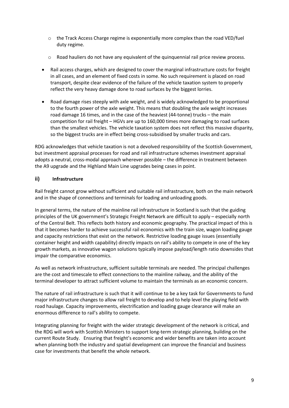- $\circ$  the Track Access Charge regime is exponentially more complex than the road VED/fuel duty regime.
- $\circ$  Road hauliers do not have any equivalent of the quinquennial rail price review process.
- Rail access charges, which are designed to cover the marginal infrastructure costs for freight in all cases, and an element of fixed costs in some. No such requirement is placed on road transport, despite clear evidence of the failure of the vehicle taxation system to properly reflect the very heavy damage done to road surfaces by the biggest lorries.
- Road damage rises steeply with axle weight, and is widely acknowledged to be proportional to the fourth power of the axle weight. This means that doubling the axle weight increases road damage 16 times, and in the case of the heaviest (44-tonne) trucks – the main competition for rail freight – HGVs are up to 160,000 times more damaging to road surfaces than the smallest vehicles. The vehicle taxation system does not reflect this massive disparity, so the biggest trucks are in effect being cross-subsidised by smaller trucks and cars.

RDG acknowledges that vehicle taxation is not a devolved responsibility of the Scottish Government, but investment appraisal processes for road and rail infrastructure schemes investment appraisal adopts a neutral, cross-modal approach wherever possible – the difference in treatment between the A9 upgrade and the Highland Main Line upgrades being cases in point.

## **ii) Infrastructure**

Rail freight cannot grow without sufficient and suitable rail infrastructure, both on the main network and in the shape of connections and terminals for loading and unloading goods.

In general terms, the nature of the mainline rail infrastructure in Scotland is such that the guiding principles of the UK government's Strategic Freight Network are difficult to apply – especially north of the Central Belt. This reflects both history and economic geography. The practical impact of this is that it becomes harder to achieve successful rail economics with the train size, wagon loading gauge and capacity restrictions that exist on the network. Restrictive loading gauge issues (essentially container height and width capability) directly impacts on rail's ability to compete in one of the key growth markets, as innovative wagon solutions typically impose payload/length ratio downsides that impair the comparative economics.

As well as network infrastructure, sufficient suitable terminals are needed. The principal challenges are the cost and timescale to effect connections to the mainline railway, and the ability of the terminal developer to attract sufficient volume to maintain the terminals as an economic concern.

The nature of rail infrastructure is such that it will continue to be a key task for Governments to fund major infrastructure changes to allow rail freight to develop and to help level the playing field with road haulage. Capacity improvements, electrification and loading gauge clearance will make an enormous difference to rail's ability to compete.

Integrating planning for freight with the wider strategic development of the network is critical, and the RDG will work with Scottish Ministers to support long-term strategic planning, building on the current Route Study. Ensuring that freight's economic and wider benefits are taken into account when planning both the industry and spatial development can improve the financial and business case for investments that benefit the whole network.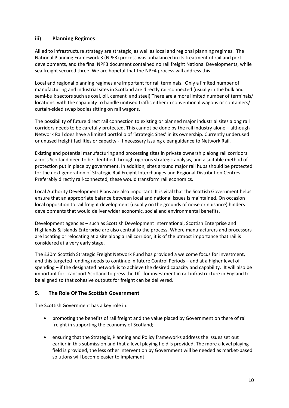## **iii) Planning Regimes**

Allied to infrastructure strategy are strategic, as well as local and regional planning regimes. The National Planning Framework 3 (NPF3) process was unbalanced in its treatment of rail and port developments, and the final NPF3 document contained no rail freight National Developments, while sea freight secured three. We are hopeful that the NPF4 process will address this.

Local and regional planning regimes are important for rail terminals. Only a limited number of manufacturing and industrial sites in Scotland are directly rail-connected (usually in the bulk and semi-bulk sectors such as coal, oil, cement and steel) There are a more limited number of terminals/ locations with the capability to handle unitised traffic either in conventional wagons or containers/ curtain-sided swap bodies sitting on rail wagons.

The possibility of future direct rail connection to existing or planned major industrial sites along rail corridors needs to be carefully protected. This cannot be done by the rail industry alone – although Network Rail does have a limited portfolio of 'Strategic Sites' in its ownership. Currently underused or unused freight facilities or capacity - if necessary issuing clear guidance to Network Rail.

Existing and potential manufacturing and processing sites in private ownership along rail corridors across Scotland need to be identified through rigorous strategic analysis, and a suitable method of protection put in place by government. In addition, sites around major rail hubs should be protected for the next generation of Strategic Rail Freight Interchanges and Regional Distribution Centres. Preferably directly rail-connected, these would transform rail economics.

Local Authority Development Plans are also important. It is vital that the Scottish Government helps ensure that an appropriate balance between local and national issues is maintained. On occasion local opposition to rail freight development (usually on the grounds of noise or nuisance) hinders developments that would deliver wider economic, social and environmental benefits.

Development agencies – such as Scottish Development International, Scottish Enterprise and Highlands & Islands Enterprise are also central to the process. Where manufacturers and processors are locating or relocating at a site along a rail corridor, it is of the utmost importance that rail is considered at a very early stage.

The £30m Scottish Strategic Freight Network Fund has provided a welcome focus for investment, and this targeted funding needs to continue in future Control Periods – and at a higher level of spending – if the designated network is to achieve the desired capacity and capability. It will also be important for Transport Scotland to press the DfT for investment in rail infrastructure in England to be aligned so that cohesive outputs for freight can be delivered.

## **5. The Role Of The Scottish Government**

The Scottish Government has a key role in:

- promoting the benefits of rail freight and the value placed by Government on there of rail freight in supporting the economy of Scotland;
- ensuring that the Strategic, Planning and Policy frameworks address the issues set out earlier in this submission and that a level playing field is provided. The more a level playing field is provided, the less other intervention by Government will be needed as market-based solutions will become easier to implement;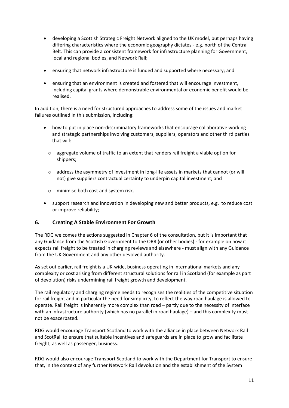- developing a Scottish Strategic Freight Network aligned to the UK model, but perhaps having differing characteristics where the economic geography dictates - e.g. north of the Central Belt. This can provide a consistent framework for infrastructure planning for Government, local and regional bodies, and Network Rail;
- ensuring that network infrastructure is funded and supported where necessary; and
- ensuring that an environment is created and fostered that will encourage investment, including capital grants where demonstrable environmental or economic benefit would be realised.

In addition, there is a need for structured approaches to address some of the issues and market failures outlined in this submission, including:

- how to put in place non-discriminatory frameworks that encourage collaborative working and strategic partnerships involving customers, suppliers, operators and other third parties that will:
	- $\circ$  aggregate volume of traffic to an extent that renders rail freight a viable option for shippers;
	- $\circ$  address the asymmetry of investment in long-life assets in markets that cannot (or will not) give suppliers contractual certainty to underpin capital investment; and
	- o minimise both cost and system risk.
- support research and innovation in developing new and better products, e.g. to reduce cost or improve reliability;

## **6. Creating A Stable Environment For Growth**

The RDG welcomes the actions suggested in Chapter 6 of the consultation, but it is important that any Guidance from the Scottish Government to the ORR (or other bodies) - for example on how it expects rail freight to be treated in charging reviews and elsewhere - must align with any Guidance from the UK Government and any other devolved authority.

As set out earlier, rail freight is a UK-wide, business operating in international markets and any complexity or cost arising from different structural solutions for rail in Scotland (for example as part of devolution) risks undermining rail freight growth and development.

The rail regulatory and charging regime needs to recognises the realities of the competitive situation for rail freight and in particular the need for simplicity, to reflect the way road haulage is allowed to operate. Rail freight is inherently more complex than road – partly due to the necessity of interface with an infrastructure authority (which has no parallel in road haulage) – and this complexity must not be exacerbated.

RDG would encourage Transport Scotland to work with the alliance in place between Network Rail and ScotRail to ensure that suitable incentives and safeguards are in place to grow and facilitate freight, as well as passenger, business.

RDG would also encourage Transport Scotland to work with the Department for Transport to ensure that, in the context of any further Network Rail devolution and the establishment of the System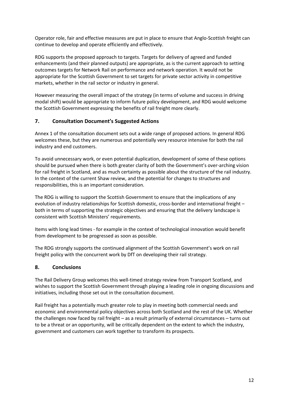Operator role, fair and effective measures are put in place to ensure that Anglo-Scottish freight can continue to develop and operate efficiently and effectively.

RDG supports the proposed approach to targets. Targets for delivery of agreed and funded enhancements (and their planned outputs) are appropriate, as is the current approach to setting outcomes targets for Network Rail on performance and network operation. It would not be appropriate for the Scottish Government to set targets for private sector activity in competitive markets, whether in the rail sector or industry in general.

However measuring the overall impact of the strategy (in terms of volume and success in driving modal shift) would be appropriate to inform future policy development, and RDG would welcome the Scottish Government expressing the benefits of rail freight more clearly.

## **7. Consultation Document's Suggested Actions**

Annex 1 of the consultation document sets out a wide range of proposed actions. In general RDG welcomes these, but they are numerous and potentially very resource intensive for both the rail industry and end customers.

To avoid unnecessary work, or even potential duplication, development of some of these options should be pursued when there is both greater clarity of both the Government's over-arching vision for rail freight in Scotland, and as much certainty as possible about the structure of the rail industry. In the context of the current Shaw review, and the potential for changes to structures and responsibilities, this is an important consideration.

The RDG is willing to support the Scottish Government to ensure that the implications of any evolution of industry relationships for Scottish domestic, cross-border and international freight – both in terms of supporting the strategic objectives and ensuring that the delivery landscape is consistent with Scottish Ministers' requirements.

Items with long lead times - for example in the context of technological innovation would benefit from development to be progressed as soon as possible.

The RDG strongly supports the continued alignment of the Scottish Government's work on rail freight policy with the concurrent work by DfT on developing their rail strategy.

## **8. Conclusions**

The Rail Delivery Group welcomes this well-timed strategy review from Transport Scotland, and wishes to support the Scottish Government through playing a leading role in ongoing discussions and initiatives, including those set out in the consultation document.

Rail freight has a potentially much greater role to play in meeting both commercial needs and economic and environmental policy objectives across both Scotland and the rest of the UK. Whether the challenges now faced by rail freight – as a result primarily of external circumstances – turns out to be a threat or an opportunity, will be critically dependent on the extent to which the industry, government and customers can work together to transform its prospects.